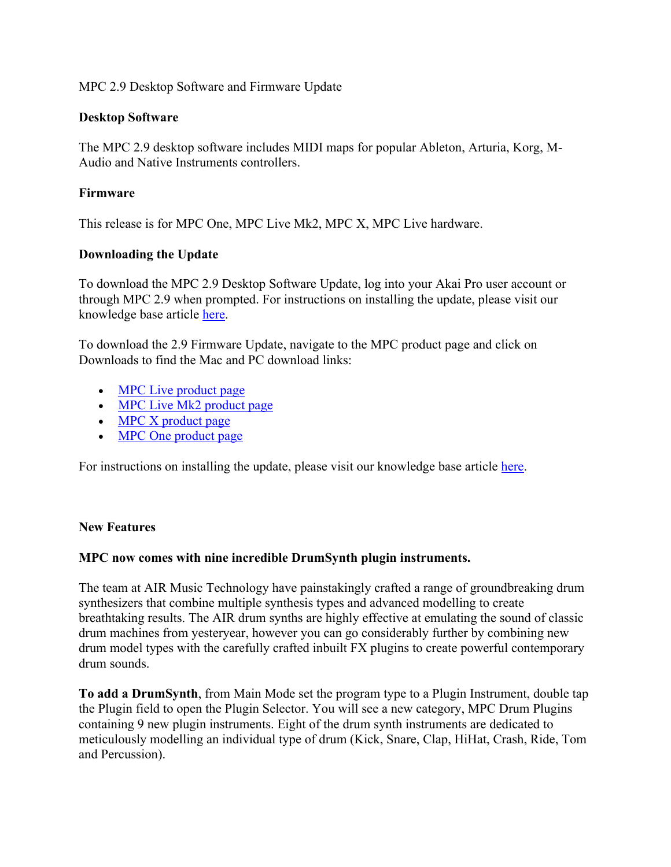# MPC 2.9 Desktop Software and Firmware Update

## **Desktop Software**

The MPC 2.9 desktop software includes MIDI maps for popular Ableton, Arturia, Korg, M-Audio and Native Instruments controllers.

## **Firmware**

This release is for MPC One, MPC Live Mk2, MPC X, MPC Live hardware.

## **Downloading the Update**

To download the MPC 2.9 Desktop Software Update, log into your Akai Pro user account or through MPC 2.9 when prompted. For instructions on installing the update, please visit our knowledge base article here.

To download the 2.9 Firmware Update, navigate to the MPC product page and click on Downloads to find the Mac and PC download links:

- MPC Live product page
- MPC Live Mk2 product page
- MPC X product page
- MPC One product page

For instructions on installing the update, please visit our knowledge base article here.

### **New Features**

### **MPC now comes with nine incredible DrumSynth plugin instruments.**

The team at AIR Music Technology have painstakingly crafted a range of groundbreaking drum synthesizers that combine multiple synthesis types and advanced modelling to create breathtaking results. The AIR drum synths are highly effective at emulating the sound of classic drum machines from yesteryear, however you can go considerably further by combining new drum model types with the carefully crafted inbuilt FX plugins to create powerful contemporary drum sounds.

**To add a DrumSynth**, from Main Mode set the program type to a Plugin Instrument, double tap the Plugin field to open the Plugin Selector. You will see a new category, MPC Drum Plugins containing 9 new plugin instruments. Eight of the drum synth instruments are dedicated to meticulously modelling an individual type of drum (Kick, Snare, Clap, HiHat, Crash, Ride, Tom and Percussion).